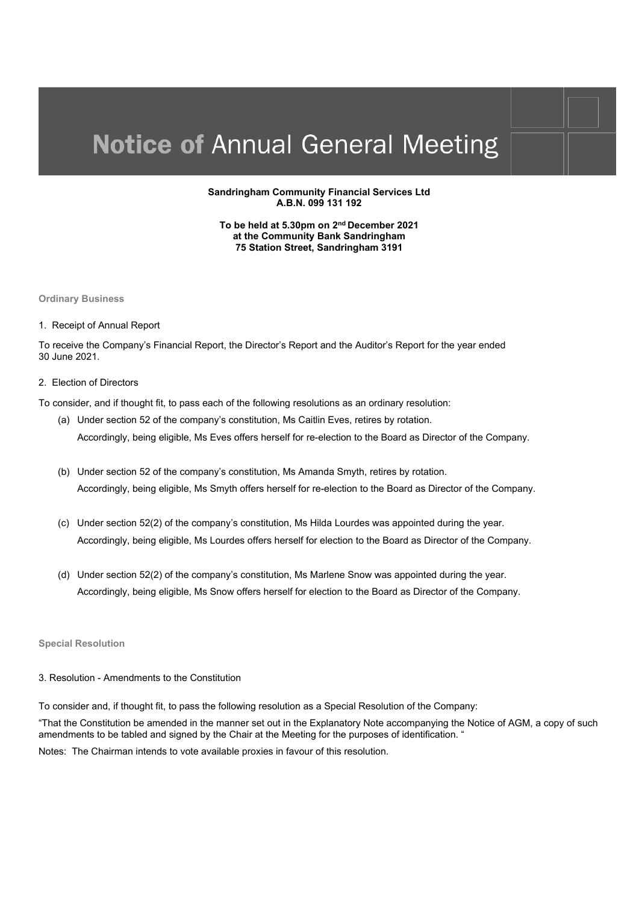#### **Sandringham Community Financial Services Ltd A.B.N. 099 131 192**

**To be held at 5.30pm on 2nd December 2021 at the Community Bank Sandringham 75 Station Street, Sandringham 3191** 

**Ordinary Business** 

1. Receipt of Annual Report

To receive the Company's Financial Report, the Director's Report and the Auditor's Report for the year ended 30 June 2021.

2. Election of Directors

To consider, and if thought fit, to pass each of the following resolutions as an ordinary resolution:

- (a) Under section 52 of the company's constitution, Ms Caitlin Eves, retires by rotation. Accordingly, being eligible, Ms Eves offers herself for re-election to the Board as Director of the Company.
- (b) Under section 52 of the company's constitution, Ms Amanda Smyth, retires by rotation. Accordingly, being eligible, Ms Smyth offers herself for re-election to the Board as Director of the Company.
- (c) Under section 52(2) of the company's constitution, Ms Hilda Lourdes was appointed during the year. Accordingly, being eligible, Ms Lourdes offers herself for election to the Board as Director of the Company.
- (d) Under section 52(2) of the company's constitution, Ms Marlene Snow was appointed during the year. Accordingly, being eligible, Ms Snow offers herself for election to the Board as Director of the Company.

#### **Special Resolution**

3. Resolution - Amendments to the Constitution

To consider and, if thought fit, to pass the following resolution as a Special Resolution of the Company:

"That the Constitution be amended in the manner set out in the Explanatory Note accompanying the Notice of AGM, a copy of such amendments to be tabled and signed by the Chair at the Meeting for the purposes of identification. "

Notes: The Chairman intends to vote available proxies in favour of this resolution.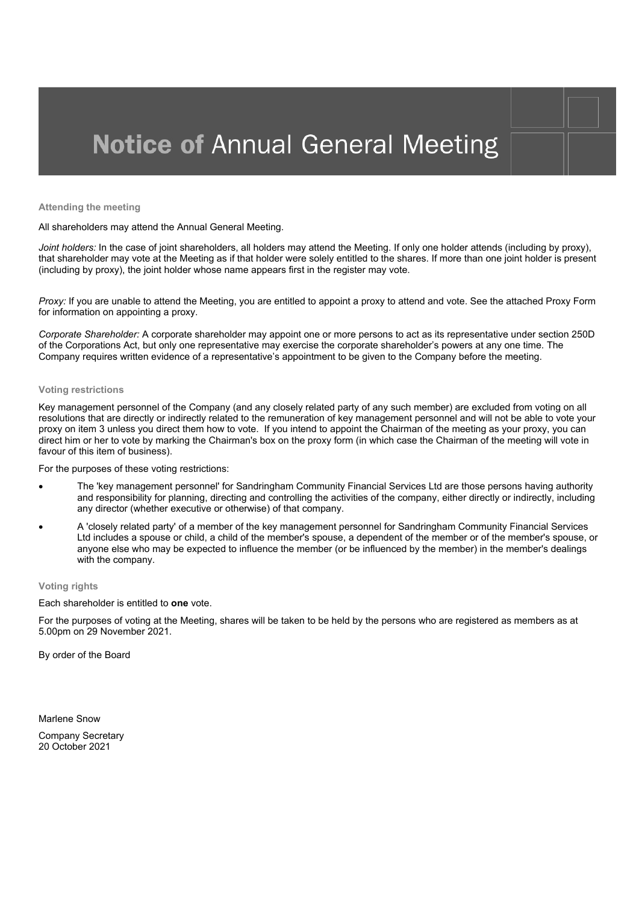**Attending the meeting** 

All shareholders may attend the Annual General Meeting.

*Joint holders:* In the case of joint shareholders, all holders may attend the Meeting. If only one holder attends (including by proxy), that shareholder may vote at the Meeting as if that holder were solely entitled to the shares. If more than one joint holder is present (including by proxy), the joint holder whose name appears first in the register may vote.

*Proxy:* If you are unable to attend the Meeting, you are entitled to appoint a proxy to attend and vote. See the attached Proxy Form for information on appointing a proxy.

*Corporate Shareholder:* A corporate shareholder may appoint one or more persons to act as its representative under section 250D of the Corporations Act, but only one representative may exercise the corporate shareholder's powers at any one time. The Company requires written evidence of a representative's appointment to be given to the Company before the meeting.

#### **Voting restrictions**

Key management personnel of the Company (and any closely related party of any such member) are excluded from voting on all resolutions that are directly or indirectly related to the remuneration of key management personnel and will not be able to vote your proxy on item 3 unless you direct them how to vote. If you intend to appoint the Chairman of the meeting as your proxy, you can direct him or her to vote by marking the Chairman's box on the proxy form (in which case the Chairman of the meeting will vote in favour of this item of business).

For the purposes of these voting restrictions:

- The 'key management personnel' for Sandringham Community Financial Services Ltd are those persons having authority and responsibility for planning, directing and controlling the activities of the company, either directly or indirectly, including any director (whether executive or otherwise) of that company.
- A 'closely related party' of a member of the key management personnel for Sandringham Community Financial Services Ltd includes a spouse or child, a child of the member's spouse, a dependent of the member or of the member's spouse, or anyone else who may be expected to influence the member (or be influenced by the member) in the member's dealings with the company.

#### **Voting rights**

Each shareholder is entitled to **one** vote.

For the purposes of voting at the Meeting, shares will be taken to be held by the persons who are registered as members as at 5.00pm on 29 November 2021.

By order of the Board

Marlene Snow

Company Secretary 20 October 2021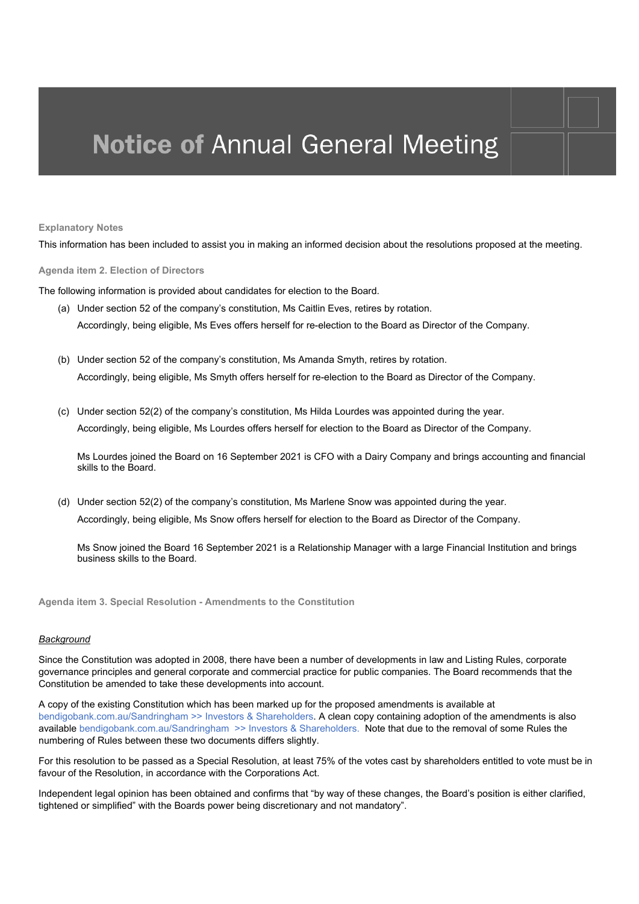#### **Explanatory Notes**

This information has been included to assist you in making an informed decision about the resolutions proposed at the meeting.

**Agenda item 2. Election of Directors** 

The following information is provided about candidates for election to the Board.

- (a) Under section 52 of the company's constitution, Ms Caitlin Eves, retires by rotation. Accordingly, being eligible, Ms Eves offers herself for re-election to the Board as Director of the Company.
- (b) Under section 52 of the company's constitution, Ms Amanda Smyth, retires by rotation. Accordingly, being eligible, Ms Smyth offers herself for re-election to the Board as Director of the Company.
- (c) Under section 52(2) of the company's constitution, Ms Hilda Lourdes was appointed during the year. Accordingly, being eligible, Ms Lourdes offers herself for election to the Board as Director of the Company.

Ms Lourdes joined the Board on 16 September 2021 is CFO with a Dairy Company and brings accounting and financial skills to the Board.

(d) Under section 52(2) of the company's constitution, Ms Marlene Snow was appointed during the year. Accordingly, being eligible, Ms Snow offers herself for election to the Board as Director of the Company.

Ms Snow joined the Board 16 September 2021 is a Relationship Manager with a large Financial Institution and brings business skills to the Board.

**Agenda item 3. Special Resolution - Amendments to the Constitution** 

#### *Background*

Since the Constitution was adopted in 2008, there have been a number of developments in law and Listing Rules, corporate governance principles and general corporate and commercial practice for public companies. The Board recommends that the Constitution be amended to take these developments into account.

A copy of the existing Constitution which has been marked up for the proposed amendments is available at bendigobank.com.au/Sandringham >> Investors & Shareholders. A clean copy containing adoption of the amendments is also available bendigobank.com.au/Sandringham >> Investors & Shareholders. Note that due to the removal of some Rules the numbering of Rules between these two documents differs slightly.

For this resolution to be passed as a Special Resolution, at least 75% of the votes cast by shareholders entitled to vote must be in favour of the Resolution, in accordance with the Corporations Act.

Independent legal opinion has been obtained and confirms that "by way of these changes, the Board's position is either clarified, tightened or simplified" with the Boards power being discretionary and not mandatory".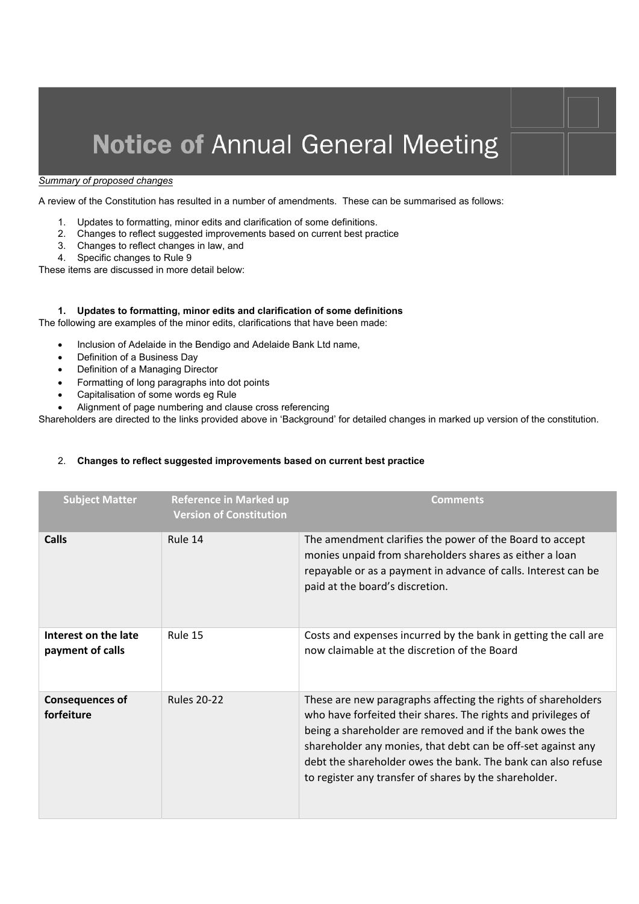#### *Summary of proposed changes*

A review of the Constitution has resulted in a number of amendments. These can be summarised as follows:

- 1. Updates to formatting, minor edits and clarification of some definitions.
- 2. Changes to reflect suggested improvements based on current best practice
- 3. Changes to reflect changes in law, and
- 4. Specific changes to Rule 9

These items are discussed in more detail below:

#### **1. Updates to formatting, minor edits and clarification of some definitions**

The following are examples of the minor edits, clarifications that have been made:

- Inclusion of Adelaide in the Bendigo and Adelaide Bank Ltd name,
- Definition of a Business Day
- Definition of a Managing Director
- Formatting of long paragraphs into dot points
- Capitalisation of some words eg Rule
- Alignment of page numbering and clause cross referencing

Shareholders are directed to the links provided above in 'Background' for detailed changes in marked up version of the constitution.

#### 2. **Changes to reflect suggested improvements based on current best practice**

| <b>Subject Matter</b>                    | <b>Reference in Marked up</b><br><b>Version of Constitution</b> | Comments                                                                                                                                                                                                                                                                                                                                                                             |
|------------------------------------------|-----------------------------------------------------------------|--------------------------------------------------------------------------------------------------------------------------------------------------------------------------------------------------------------------------------------------------------------------------------------------------------------------------------------------------------------------------------------|
| Calls                                    | Rule 14                                                         | The amendment clarifies the power of the Board to accept<br>monies unpaid from shareholders shares as either a loan<br>repayable or as a payment in advance of calls. Interest can be<br>paid at the board's discretion.                                                                                                                                                             |
| Interest on the late<br>payment of calls | Rule 15                                                         | Costs and expenses incurred by the bank in getting the call are<br>now claimable at the discretion of the Board                                                                                                                                                                                                                                                                      |
| <b>Consequences of</b><br>forfeiture     | <b>Rules 20-22</b>                                              | These are new paragraphs affecting the rights of shareholders<br>who have forfeited their shares. The rights and privileges of<br>being a shareholder are removed and if the bank owes the<br>shareholder any monies, that debt can be off-set against any<br>debt the shareholder owes the bank. The bank can also refuse<br>to register any transfer of shares by the shareholder. |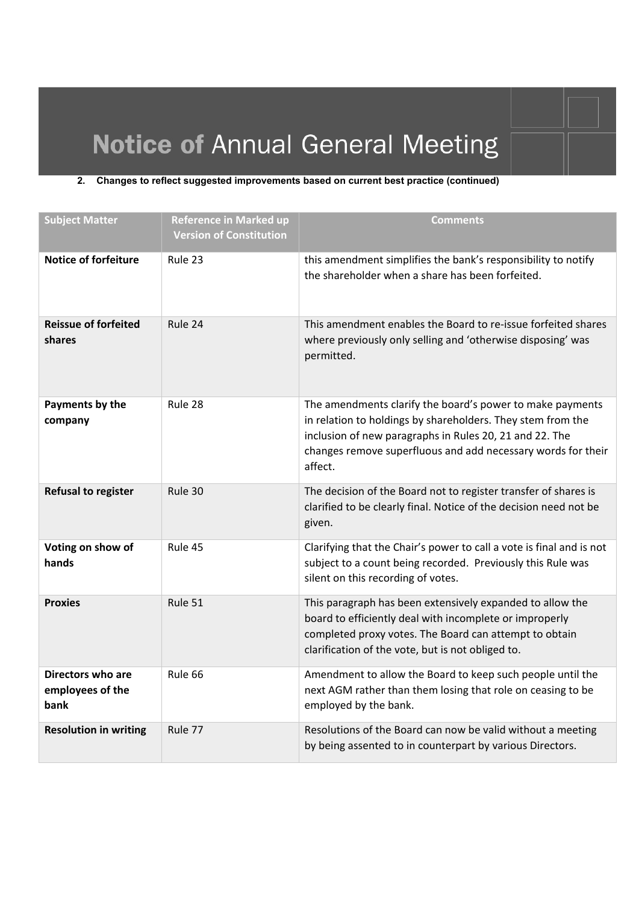### **2. Changes to reflect suggested improvements based on current best practice (continued)**

| <b>Subject Matter</b>                         | <b>Reference in Marked up</b><br><b>Version of Constitution</b> | <b>Comments</b>                                                                                                                                                                                                                                                |
|-----------------------------------------------|-----------------------------------------------------------------|----------------------------------------------------------------------------------------------------------------------------------------------------------------------------------------------------------------------------------------------------------------|
| <b>Notice of forfeiture</b>                   | Rule 23                                                         | this amendment simplifies the bank's responsibility to notify<br>the shareholder when a share has been forfeited.                                                                                                                                              |
| <b>Reissue of forfeited</b><br>shares         | Rule 24                                                         | This amendment enables the Board to re-issue forfeited shares<br>where previously only selling and 'otherwise disposing' was<br>permitted.                                                                                                                     |
| Payments by the<br>company                    | Rule 28                                                         | The amendments clarify the board's power to make payments<br>in relation to holdings by shareholders. They stem from the<br>inclusion of new paragraphs in Rules 20, 21 and 22. The<br>changes remove superfluous and add necessary words for their<br>affect. |
| <b>Refusal to register</b>                    | Rule 30                                                         | The decision of the Board not to register transfer of shares is<br>clarified to be clearly final. Notice of the decision need not be<br>given.                                                                                                                 |
| Voting on show of<br>hands                    | Rule 45                                                         | Clarifying that the Chair's power to call a vote is final and is not<br>subject to a count being recorded. Previously this Rule was<br>silent on this recording of votes.                                                                                      |
| <b>Proxies</b>                                | Rule 51                                                         | This paragraph has been extensively expanded to allow the<br>board to efficiently deal with incomplete or improperly<br>completed proxy votes. The Board can attempt to obtain<br>clarification of the vote, but is not obliged to.                            |
| Directors who are<br>employees of the<br>bank | Rule 66                                                         | Amendment to allow the Board to keep such people until the<br>next AGM rather than them losing that role on ceasing to be<br>employed by the bank.                                                                                                             |
| <b>Resolution in writing</b>                  | Rule 77                                                         | Resolutions of the Board can now be valid without a meeting<br>by being assented to in counterpart by various Directors.                                                                                                                                       |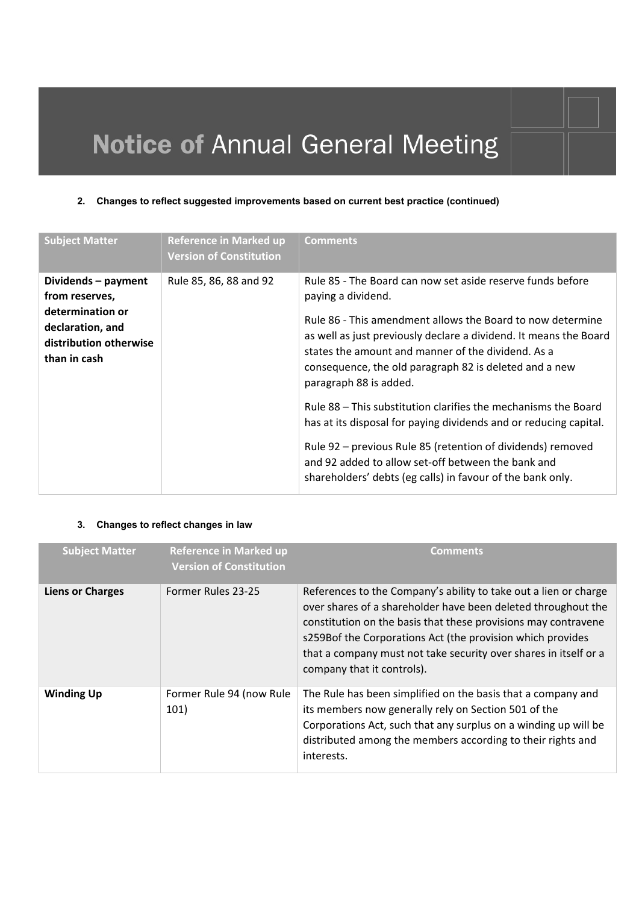### **2. Changes to reflect suggested improvements based on current best practice (continued)**

| <b>Subject Matter</b>                                                                                                   | <b>Reference in Marked up</b><br><b>Version of Constitution</b> | <b>Comments</b>                                                                                                                                                                                                                                                                                                                                                                                                                                                                                                                                                                                                                                                                         |
|-------------------------------------------------------------------------------------------------------------------------|-----------------------------------------------------------------|-----------------------------------------------------------------------------------------------------------------------------------------------------------------------------------------------------------------------------------------------------------------------------------------------------------------------------------------------------------------------------------------------------------------------------------------------------------------------------------------------------------------------------------------------------------------------------------------------------------------------------------------------------------------------------------------|
| Dividends - payment<br>from reserves,<br>determination or<br>declaration, and<br>distribution otherwise<br>than in cash | Rule 85, 86, 88 and 92                                          | Rule 85 - The Board can now set aside reserve funds before<br>paying a dividend.<br>Rule 86 - This amendment allows the Board to now determine<br>as well as just previously declare a dividend. It means the Board<br>states the amount and manner of the dividend. As a<br>consequence, the old paragraph 82 is deleted and a new<br>paragraph 88 is added.<br>Rule 88 – This substitution clarifies the mechanisms the Board<br>has at its disposal for paying dividends and or reducing capital.<br>Rule 92 – previous Rule 85 (retention of dividends) removed<br>and 92 added to allow set-off between the bank and<br>shareholders' debts (eg calls) in favour of the bank only. |

### **3. Changes to reflect changes in law**

| <b>Subject Matter</b>   | <b>Reference in Marked up</b><br><b>Version of Constitution</b> | <b>Comments</b>                                                                                                                                                                                                                                                                                                                                                     |
|-------------------------|-----------------------------------------------------------------|---------------------------------------------------------------------------------------------------------------------------------------------------------------------------------------------------------------------------------------------------------------------------------------------------------------------------------------------------------------------|
| <b>Liens or Charges</b> | Former Rules 23-25                                              | References to the Company's ability to take out a lien or charge<br>over shares of a shareholder have been deleted throughout the<br>constitution on the basis that these provisions may contravene<br>s259Bof the Corporations Act (the provision which provides<br>that a company must not take security over shares in itself or a<br>company that it controls). |
| <b>Winding Up</b>       | Former Rule 94 (now Rule<br>101)                                | The Rule has been simplified on the basis that a company and<br>its members now generally rely on Section 501 of the<br>Corporations Act, such that any surplus on a winding up will be<br>distributed among the members according to their rights and<br>interests.                                                                                                |